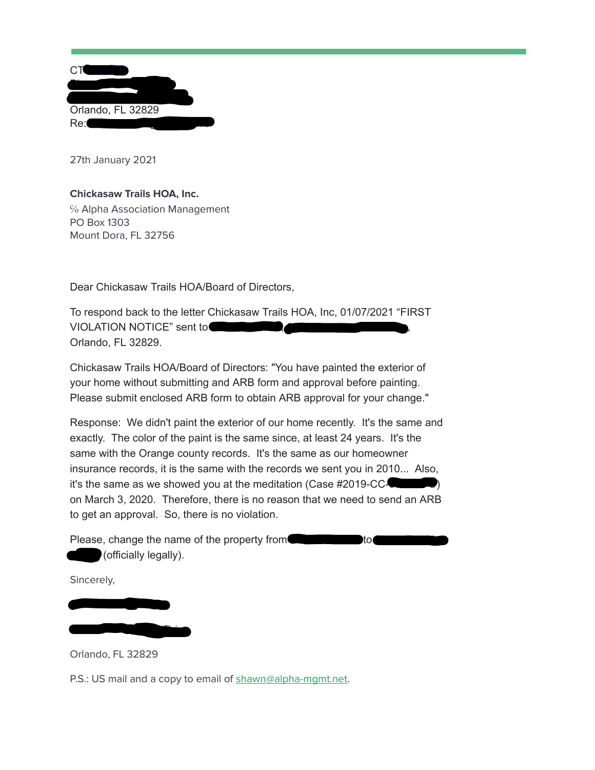| СT                |  |
|-------------------|--|
| Orlando, FL 32829 |  |
| Re:               |  |

27th January 2021

## **Chickasaw Trails HOA, Inc.**

℅ Alpha Association Management PO Box 1303 Mount Dora, FL 32756

Dear Chickasaw Trails HOA/Board of Directors,

To respond back to the letter Chickasaw Trails HOA, Inc, 01/07/2021 "FIRST VIOLATION NOTICE" sent to Orlando, FL 32829.

Chickasaw Trails HOA/Board of Directors: "You have painted the exterior of your home without submitting and ARB form and approval before painting. Please submit enclosed ARB form to obtain ARB approval for your change."

Response: We didn't paint the exterior of our home recently. It's the same and exactly. The color of the paint is the same since, at least 24 years. It's the same with the Orange county records. It's the same as our homeowner insurance records, it is the same with the records we sent you in 2010... Also, it's the same as we showed you at the meditation (Case  $#2019$ -CC- $\Box$ on March 3, 2020. Therefore, there is no reason that we need to send an ARB to get an approval. So, there is no violation.

Please, change the name of the property from Tuu Van Pham Tuu Van Pham Tuu Van Pham Tuu Van Pham Tuu Van Pham Tu (officially legally).

Sincerely,

Orlando, FL 32829

Pham Tuu Van Estate

3720 Running Deer Drive

P.S.: US mail and a copy to email of shawn@alpha-mqmt.net.